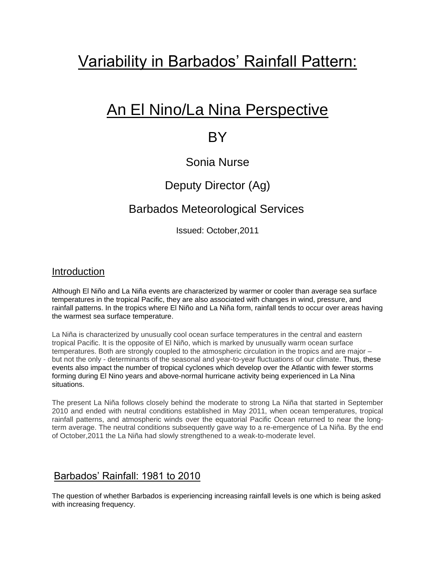# Variability in Barbados' Rainfall Pattern:

# An El Nino/La Nina Perspective

## **BY**

## Sonia Nurse

## Deputy Director (Ag)

## Barbados Meteorological Services

Issued: October,2011

#### Introduction

Although El Niño and La Niña events are characterized by warmer or cooler than average sea surface temperatures in the tropical Pacific, they are also associated with changes in wind, pressure, and rainfall patterns. In the tropics where El Niño and La Niña form, rainfall tends to occur over areas having the warmest sea surface temperature.

La Niña is characterized by unusually cool ocean surface temperatures in the central and eastern tropical Pacific. It is the opposite of El Niño, which is marked by unusually warm ocean surface temperatures. Both are strongly coupled to the atmospheric circulation in the tropics and are major – but not the only - determinants of the seasonal and year-to-year fluctuations of our climate. Thus, these events also impact the number of tropical cyclones which develop over the Atlantic with fewer storms forming during El Nino years and above-normal hurricane activity being experienced in La Nina situations.

The present La Niña follows closely behind the moderate to strong La Niña that started in September 2010 and ended with neutral conditions established in May 2011, when ocean temperatures, tropical rainfall patterns, and atmospheric winds over the equatorial Pacific Ocean returned to near the longterm average. The neutral conditions subsequently gave way to a re-emergence of La Niña. By the end of October,2011 the La Niña had slowly strengthened to a weak-to-moderate level.

#### Barbados' Rainfall: 1981 to 2010

The question of whether Barbados is experiencing increasing rainfall levels is one which is being asked with increasing frequency.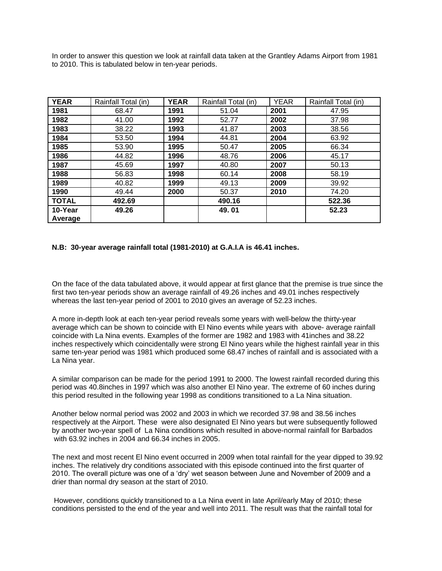In order to answer this question we look at rainfall data taken at the Grantley Adams Airport from 1981 to 2010. This is tabulated below in ten-year periods.

| <b>YEAR</b>        | Rainfall Total (in) | <b>YEAR</b> | Rainfall Total (in) | <b>YEAR</b> | Rainfall Total (in) |
|--------------------|---------------------|-------------|---------------------|-------------|---------------------|
| 1981               | 68.47               | 1991        | 51.04               | 2001        | 47.95               |
| 1982               | 41.00               | 1992        | 52.77               | 2002        | 37.98               |
| 1983               | 38.22               | 1993        | 41.87               | 2003        | 38.56               |
| 1984               | 53.50               | 1994        | 44.81               | 2004        | 63.92               |
| 1985               | 53.90               | 1995        | 50.47               | 2005        | 66.34               |
| 1986               | 44.82               | 1996        | 48.76               | 2006        | 45.17               |
| 1987               | 45.69               | 1997        | 40.80               | 2007        | 50.13               |
| 1988               | 56.83               | 1998        | 60.14               | 2008        | 58.19               |
| 1989               | 40.82               | 1999        | 49.13               | 2009        | 39.92               |
| 1990               | 49.44               | 2000        | 50.37               | 2010        | 74.20               |
| <b>TOTAL</b>       | 492.69              |             | 490.16              |             | 522.36              |
| 10-Year<br>Average | 49.26               |             | 49.01               |             | 52.23               |

#### **N.B: 30-year average rainfall total (1981-2010) at G.A.I.A is 46.41 inches.**

On the face of the data tabulated above, it would appear at first glance that the premise is true since the first two ten-year periods show an average rainfall of 49.26 inches and 49.01 inches respectively whereas the last ten-year period of 2001 to 2010 gives an average of 52.23 inches.

A more in-depth look at each ten-year period reveals some years with well-below the thirty-year average which can be shown to coincide with El Nino events while years with above- average rainfall coincide with La Nina events. Examples of the former are 1982 and 1983 with 41inches and 38.22 inches respectively which coincidentally were strong El Nino years while the highest rainfall year in this same ten-year period was 1981 which produced some 68.47 inches of rainfall and is associated with a La Nina year.

A similar comparison can be made for the period 1991 to 2000. The lowest rainfall recorded during this period was 40.8inches in 1997 which was also another El Nino year. The extreme of 60 inches during this period resulted in the following year 1998 as conditions transitioned to a La Nina situation.

Another below normal period was 2002 and 2003 in which we recorded 37.98 and 38.56 inches respectively at the Airport. These were also designated El Nino years but were subsequently followed by another two-year spell of La Nina conditions which resulted in above-normal rainfall for Barbados with 63.92 inches in 2004 and 66.34 inches in 2005.

The next and most recent El Nino event occurred in 2009 when total rainfall for the year dipped to 39.92 inches. The relatively dry conditions associated with this episode continued into the first quarter of 2010. The overall picture was one of a 'dry' wet season between June and November of 2009 and a drier than normal dry season at the start of 2010.

However, conditions quickly transitioned to a La Nina event in late April/early May of 2010; these conditions persisted to the end of the year and well into 2011. The result was that the rainfall total for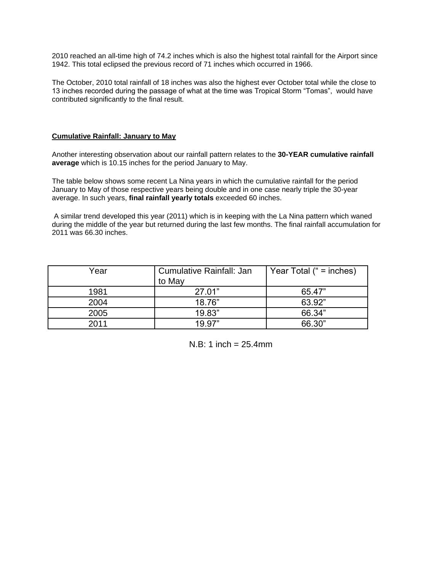2010 reached an all-time high of 74.2 inches which is also the highest total rainfall for the Airport since 1942. This total eclipsed the previous record of 71 inches which occurred in 1966.

The October, 2010 total rainfall of 18 inches was also the highest ever October total while the close to 13 inches recorded during the passage of what at the time was Tropical Storm "Tomas", would have contributed significantly to the final result.

#### **Cumulative Rainfall: January to May**

Another interesting observation about our rainfall pattern relates to the **30-YEAR cumulative rainfall average** which is 10.15 inches for the period January to May.

The table below shows some recent La Nina years in which the cumulative rainfall for the period January to May of those respective years being double and in one case nearly triple the 30-year average. In such years, **final rainfall yearly totals** exceeded 60 inches.

A similar trend developed this year (2011) which is in keeping with the La Nina pattern which waned during the middle of the year but returned during the last few months. The final rainfall accumulation for 2011 was 66.30 inches.

| Year | Cumulative Rainfall: Jan<br>to May | Year Total (" = inches) |
|------|------------------------------------|-------------------------|
| 1981 | 27.01"                             | 65.47"                  |
| 2004 | 18.76"                             | 63.92"                  |
| 2005 | 19.83"                             | 66.34"                  |
| 2011 | 19.97"                             | 66.30"                  |

 $N.B: 1 inch = 25.4mm$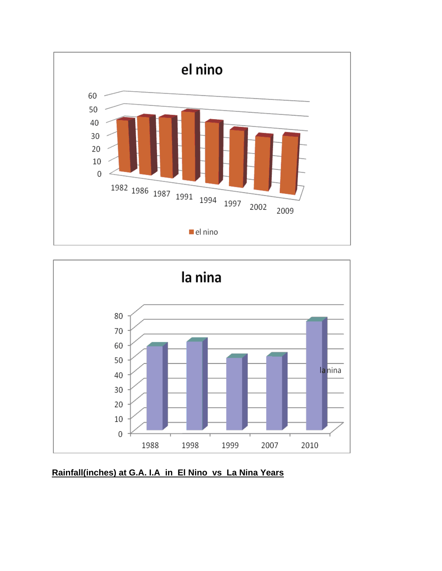



### **Rainfall(inches) at G.A. I.A in El Nino vs La Nina Years**